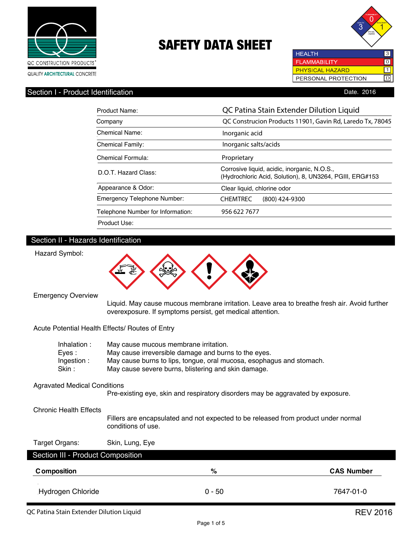



### Section I - Product Identification

| Date, 2016 |  |  |
|------------|--|--|
|            |  |  |

| Product Name:                     | QC Patina Stain Extender Dilution Liquid                                                                 |
|-----------------------------------|----------------------------------------------------------------------------------------------------------|
| Company                           | QC Construcion Products 11901, Gavin Rd, Laredo Tx, 78045                                                |
| Chemical Name:                    | Inorganic acid                                                                                           |
| <b>Chemical Family:</b>           | Inorganic salts/acids                                                                                    |
| Chemical Formula:                 | Proprietary                                                                                              |
| D.O.T. Hazard Class:              | Corrosive liquid, acidic, inorganic, N.O.S.,<br>(Hydrochloric Acid, Solution), 8, UN3264, PGIII, ERG#153 |
| Appearance & Odor:                | Clear liquid, chlorine odor                                                                              |
| Emergency Telephone Number:       | <b>CHEMTREC</b><br>$(800)$ 424-9300                                                                      |
| Telephone Number for Information: | 956 622 7677                                                                                             |
| Product Use:                      |                                                                                                          |

#### Section II - Hazards Identification



Emergency Overview

Hazard Symbol:

 Liquid. May cause mucous membrane irritation. Leave area to breathe fresh air. Avoid further overexposure. If symptoms persist, get medical attention.

Acute Potential Health Effects/ Routes of Entry

| Inhalation: | May cause mucous membrane irritation.                                |
|-------------|----------------------------------------------------------------------|
| Eves :      | May cause irreversible damage and burns to the eyes.                 |
| Ingestion : | May cause burns to lips, tongue, oral mucosa, esophagus and stomach. |
| Skin :      | May cause severe burns, blistering and skin damage.                  |
|             |                                                                      |

#### Agravated Medical Conditions

Pre-existing eye, skin and respiratory disorders may be aggravated by exposure.

Chronic Health Effects

 Fillers are encapsulated and not expected to be released from product under normal conditions of use.

Target Organs: Skin, Lung, Eye

Section III - Product Composition

| <b>C</b> omposition | %        | <b>CAS Number</b> |
|---------------------|----------|-------------------|
| Hydrogen Chloride   | $0 - 50$ | 7647-01-0         |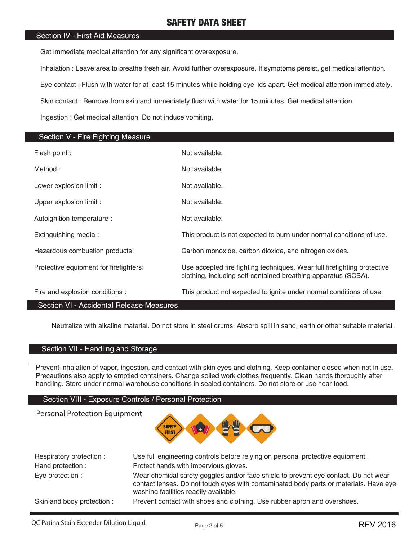### Section IV - First Aid Measures

Get immediate medical attention for any significant overexposure.

Inhalation : Leave area to breathe fresh air. Avoid further overexposure. If symptoms persist, get medical attention.

Eye contact : Flush with water for at least 15 minutes while holding eye lids apart. Get medical attention immediately.

Skin contact : Remove from skin and immediately flush with water for 15 minutes. Get medical attention.

Ingestion : Get medical attention. Do not induce vomiting.

| Section V - Fire Fighting Measure      |                                                                                                                                            |
|----------------------------------------|--------------------------------------------------------------------------------------------------------------------------------------------|
| Flash point :                          | Not available.                                                                                                                             |
| Method:                                | Not available.                                                                                                                             |
| Lower explosion limit :                | Not available.                                                                                                                             |
| Upper explosion limit :                | Not available.                                                                                                                             |
| Autoignition temperature :             | Not available.                                                                                                                             |
| Extinguishing media:                   | This product is not expected to burn under normal conditions of use.                                                                       |
| Hazardous combustion products:         | Carbon monoxide, carbon dioxide, and nitrogen oxides.                                                                                      |
| Protective equipment for firefighters: | Use accepted fire fighting techniques. Wear full firefighting protective<br>clothing, including self-contained breathing apparatus (SCBA). |
| Fire and explosion conditions :        | This product not expected to ignite under normal conditions of use.                                                                        |

#### Section VI - Accidental Release Measures

Neutralize with alkaline material. Do not store in steel drums. Absorb spill in sand, earth or other suitable material.

### Section VII - Handling and Storage

Personal Protection Equipment

Prevent inhalation of vapor, ingestion, and contact with skin eyes and clothing. Keep container closed when not in use. Precautions also apply to emptied containers. Change soiled work clothes frequently. Clean hands thoroughly after handling. Store under normal warehouse conditions in sealed containers. Do not store or use near food.

#### Section VIII - Exposure Controls / Personal Protection

**SAFETY FIRST** 

| Respiratory protection :  | Use full engineering controls before relying on personal protective equipment.                                                                                                                                        |
|---------------------------|-----------------------------------------------------------------------------------------------------------------------------------------------------------------------------------------------------------------------|
| Hand protection :         | Protect hands with impervious gloves.                                                                                                                                                                                 |
| Eye protection :          | Wear chemical safety goggles and/or face shield to prevent eye contact. Do not wear<br>contact lenses. Do not touch eyes with contaminated body parts or materials. Have eye<br>washing facilities readily available. |
| Skin and body protection: | Prevent contact with shoes and clothing. Use rubber apron and overshoes.                                                                                                                                              |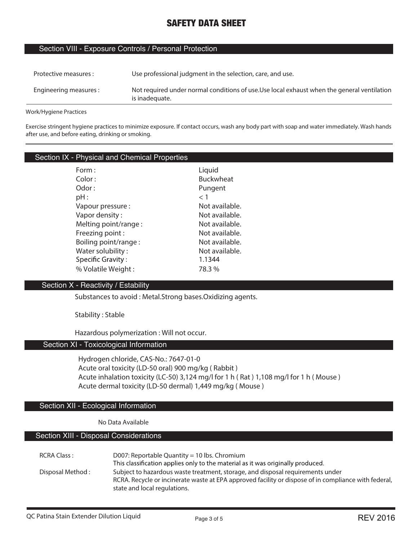#### Section VIII - Exposure Controls / Personal Protection

| Protective measures :  | Use professional judgment in the selection, care, and use.                                                    |
|------------------------|---------------------------------------------------------------------------------------------------------------|
| Engineering measures : | Not required under normal conditions of use. Use local exhaust when the general ventilation<br>is inadequate. |

**Work/Hygiene Practices**

**Exercise stringent hygiene practices to minimize exposure. If contact occurs, wash any body part with soap and water immediately. Wash hands after use, and before eating, drinking or smoking.**

## Section IX - Physical and Chemical Properties

| Form :                   | Liquid           |
|--------------------------|------------------|
| Color:                   | <b>Buckwheat</b> |
| Odor:                    | Pungent          |
| pH:                      | $<$ 1            |
| Vapour pressure:         | Not available.   |
| Vapor density:           | Not available.   |
| Melting point/range:     | Not available.   |
| Freezing point:          | Not available.   |
| Boiling point/range:     | Not available.   |
| Water solubility:        | Not available.   |
| <b>Specific Gravity:</b> | 1.1344           |
| % Volatile Weight:       | 78.3%            |

#### Section X - Reactivity / Estability

**Substances to avoid : Metal.Strong bases.Oxidizing agents.**

**Stability : Stable**

**Hazardous polymerization : Will not occur.**

#### Section XI - Toxicological Information

**Hydrogen chloride, CAS-No.: 7647-01-0 Acute oral toxicity (LD-50 oral) 900 mg/kg ( Rabbit ) Acute inhalation toxicity (LC-50) 3,124 mg/l for 1 h ( Rat ) 1,108 mg/l for 1 h ( Mouse ) Acute dermal toxicity (LD-50 dermal) 1,449 mg/kg ( Mouse )**

#### Section XII - Ecological Information

#### **No Data Available**

### Section XIII - Disposal Considerations

| RCRA Class:      | D007: Reportable Quantity = 10 lbs. Chromium<br>This classification applies only to the material as it was originally produced.                                                                                        |
|------------------|------------------------------------------------------------------------------------------------------------------------------------------------------------------------------------------------------------------------|
| Disposal Method: | Subject to hazardous waste treatment, storage, and disposal requirements under<br>RCRA. Recycle or incinerate waste at EPA approved facility or dispose of in compliance with federal,<br>state and local regulations. |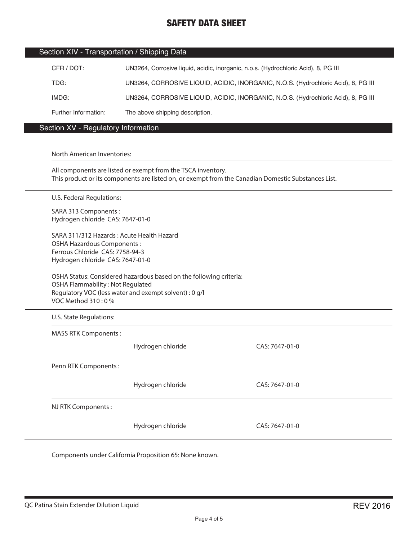|  | Section XIV - Transportation / Shipping Data |  |  |
|--|----------------------------------------------|--|--|
|--|----------------------------------------------|--|--|

| CFR / DOT:           | UN3264, Corrosive liquid, acidic, inorganic, n.o.s. (Hydrochloric Acid), 8, PG III |
|----------------------|------------------------------------------------------------------------------------|
| TDG:                 | UN3264, CORROSIVE LIQUID, ACIDIC, INORGANIC, N.O.S. (Hydrochloric Acid), 8, PG III |
| IMDG:                | UN3264, CORROSIVE LIQUID, ACIDIC, INORGANIC, N.O.S. (Hydrochloric Acid), 8, PG III |
| Further Information: | The above shipping description.                                                    |

### Section XV - Regulatory Information

#### **North American Inventories:**

**All components are listed or exempt from the TSCA inventory. This product or its components are listed on, or exempt from the Canadian Domestic Substances List.**

**U.S. Federal Regulations:**

**SARA 313 Components : Hydrogen chloride CAS: 7647-01-0**

**SARA 311/312 Hazards : Acute Health Hazard OSHA Hazardous Components : Ferrous Chloride CAS: 7758-94-3 Hydrogen chloride CAS: 7647-01-0**

**OSHA Status: Considered hazardous based on the following criteria: OSHA Flammability : Not Regulated Regulatory VOC (less water and exempt solvent) : 0 g/l VOC Method 310 : 0 %**

**U.S. State Regulations:**

**MASS RTK Components :** 

**Hydrogen chloride CAS: 7647-01-0**

**Penn RTK Components :** 

**Hydrogen chloride CAS: 7647-01-0**

**NJ RTK Components :** 

**Hydrogen chloride CAS: 7647-01-0**

**Components under California Proposition 65: None known.**